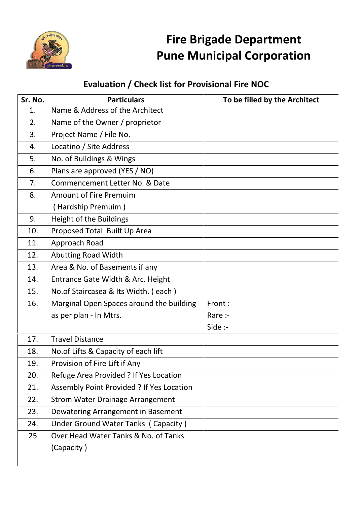

## **Fire Brigade Department Pune Municipal Corporation**

## **Evaluation / Check list for Provisional Fire NOC**

| Sr. No. | <b>Particulars</b>                        | To be filled by the Architect |
|---------|-------------------------------------------|-------------------------------|
| 1.      | Name & Address of the Architect           |                               |
| 2.      | Name of the Owner / proprietor            |                               |
| 3.      | Project Name / File No.                   |                               |
| 4.      | Locatino / Site Address                   |                               |
| 5.      | No. of Buildings & Wings                  |                               |
| 6.      | Plans are approved (YES / NO)             |                               |
| 7.      | Commencement Letter No. & Date            |                               |
| 8.      | <b>Amount of Fire Premuim</b>             |                               |
|         | (Hardship Premuim)                        |                               |
| 9.      | Height of the Buildings                   |                               |
| 10.     | Proposed Total Built Up Area              |                               |
| 11.     | Approach Road                             |                               |
| 12.     | <b>Abutting Road Width</b>                |                               |
| 13.     | Area & No. of Basements if any            |                               |
| 14.     | Entrance Gate Width & Arc. Height         |                               |
| 15.     | No.of Staircasea & Its Width. (each)      |                               |
| 16.     | Marginal Open Spaces around the building  | Front :-                      |
|         | as per plan - In Mtrs.                    | Rare :-                       |
|         |                                           | Side :-                       |
| 17.     | <b>Travel Distance</b>                    |                               |
| 18.     | No. of Lifts & Capacity of each lift      |                               |
| 19.     | Provision of Fire Lift if Any             |                               |
| 20.     | Refuge Area Provided ? If Yes Location    |                               |
| 21.     | Assembly Point Provided ? If Yes Location |                               |
| 22.     | <b>Strom Water Drainage Arrangement</b>   |                               |
| 23.     | Dewatering Arrangement in Basement        |                               |
| 24.     | Under Ground Water Tanks (Capacity)       |                               |
| 25      | Over Head Water Tanks & No. of Tanks      |                               |
|         | (Capacity)                                |                               |
|         |                                           |                               |